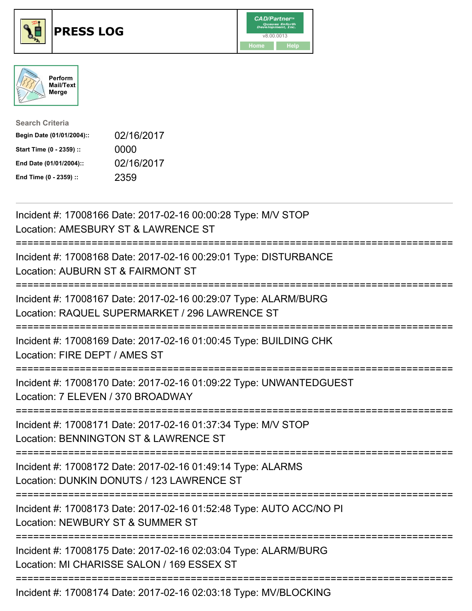





| <b>Search Criteria</b>    |            |
|---------------------------|------------|
| Begin Date (01/01/2004):: | 02/16/2017 |
| Start Time (0 - 2359) ::  | 0000       |
| End Date (01/01/2004)::   | 02/16/2017 |
| End Time (0 - 2359) ::    | 2359       |

| Incident #: 17008166 Date: 2017-02-16 00:00:28 Type: M/V STOP<br>Location: AMESBURY ST & LAWRENCE ST                                             |
|--------------------------------------------------------------------------------------------------------------------------------------------------|
| Incident #: 17008168 Date: 2017-02-16 00:29:01 Type: DISTURBANCE<br>Location: AUBURN ST & FAIRMONT ST                                            |
| Incident #: 17008167 Date: 2017-02-16 00:29:07 Type: ALARM/BURG<br>Location: RAQUEL SUPERMARKET / 296 LAWRENCE ST<br>:========================== |
| Incident #: 17008169 Date: 2017-02-16 01:00:45 Type: BUILDING CHK<br>Location: FIRE DEPT / AMES ST                                               |
| Incident #: 17008170 Date: 2017-02-16 01:09:22 Type: UNWANTEDGUEST<br>Location: 7 ELEVEN / 370 BROADWAY<br>:============================         |
| Incident #: 17008171 Date: 2017-02-16 01:37:34 Type: M/V STOP<br>Location: BENNINGTON ST & LAWRENCE ST                                           |
| Incident #: 17008172 Date: 2017-02-16 01:49:14 Type: ALARMS<br>Location: DUNKIN DONUTS / 123 LAWRENCE ST                                         |
| Incident #: 17008173 Date: 2017-02-16 01:52:48 Type: AUTO ACC/NO PI<br>Location: NEWBURY ST & SUMMER ST                                          |
| Incident #: 17008175 Date: 2017-02-16 02:03:04 Type: ALARM/BURG<br>Location: MI CHARISSE SALON / 169 ESSEX ST                                    |
|                                                                                                                                                  |

Incident #: 17008174 Date: 2017-02-16 02:03:18 Type: MV/BLOCKING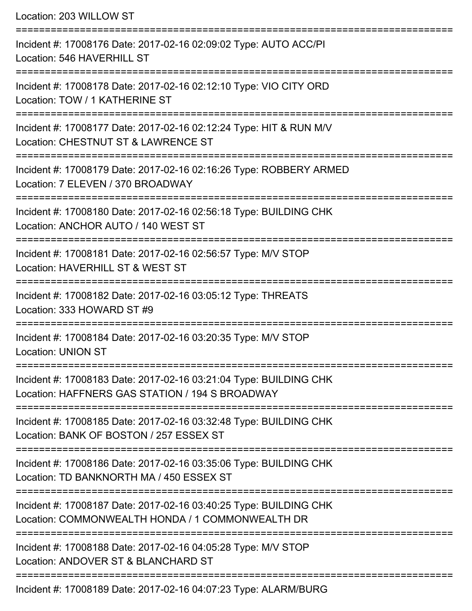Location: 203 WILLOW ST =========================================================================== Incident #: 17008176 Date: 2017-02-16 02:09:02 Type: AUTO ACC/PI Location: 546 HAVERHILL ST =========================================================================== Incident #: 17008178 Date: 2017-02-16 02:12:10 Type: VIO CITY ORD Location: TOW / 1 KATHERINE ST =========================================================================== Incident #: 17008177 Date: 2017-02-16 02:12:24 Type: HIT & RUN M/V Location: CHESTNUT ST & LAWRENCE ST =========================================================================== Incident #: 17008179 Date: 2017-02-16 02:16:26 Type: ROBBERY ARMED Location: 7 ELEVEN / 370 BROADWAY =========================================================================== Incident #: 17008180 Date: 2017-02-16 02:56:18 Type: BUILDING CHK Location: ANCHOR AUTO / 140 WEST ST =========================================================================== Incident #: 17008181 Date: 2017-02-16 02:56:57 Type: M/V STOP Location: HAVERHILL ST & WEST ST =========================================================================== Incident #: 17008182 Date: 2017-02-16 03:05:12 Type: THREATS Location: 333 HOWARD ST #9 =========================================================================== Incident #: 17008184 Date: 2017-02-16 03:20:35 Type: M/V STOP Location: UNION ST =========================================================================== Incident #: 17008183 Date: 2017-02-16 03:21:04 Type: BUILDING CHK Location: HAFFNERS GAS STATION / 194 S BROADWAY =========================================================================== Incident #: 17008185 Date: 2017-02-16 03:32:48 Type: BUILDING CHK Location: BANK OF BOSTON / 257 ESSEX ST =========================================================================== Incident #: 17008186 Date: 2017-02-16 03:35:06 Type: BUILDING CHK Location: TD BANKNORTH MA / 450 ESSEX ST =========================================================================== Incident #: 17008187 Date: 2017-02-16 03:40:25 Type: BUILDING CHK Location: COMMONWEALTH HONDA / 1 COMMONWEALTH DR =========================================================================== Incident #: 17008188 Date: 2017-02-16 04:05:28 Type: M/V STOP Location: ANDOVER ST & BLANCHARD ST ===========================================================================

Incident #: 17008189 Date: 2017-02-16 04:07:23 Type: ALARM/BURG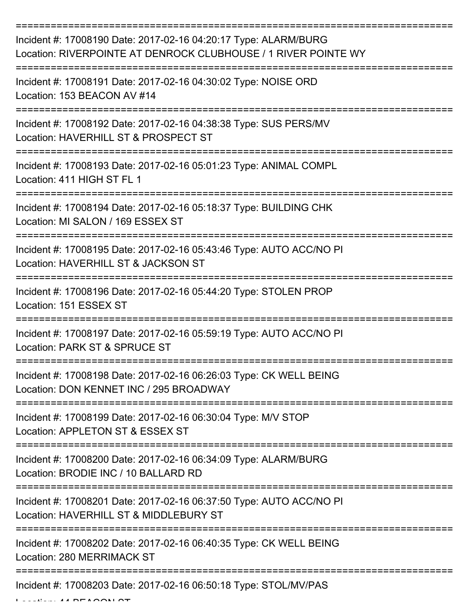| Incident #: 17008190 Date: 2017-02-16 04:20:17 Type: ALARM/BURG<br>Location: RIVERPOINTE AT DENROCK CLUBHOUSE / 1 RIVER POINTE WY |
|-----------------------------------------------------------------------------------------------------------------------------------|
| Incident #: 17008191 Date: 2017-02-16 04:30:02 Type: NOISE ORD<br>Location: 153 BEACON AV #14                                     |
| Incident #: 17008192 Date: 2017-02-16 04:38:38 Type: SUS PERS/MV<br>Location: HAVERHILL ST & PROSPECT ST                          |
| Incident #: 17008193 Date: 2017-02-16 05:01:23 Type: ANIMAL COMPL<br>Location: 411 HIGH ST FL 1                                   |
| Incident #: 17008194 Date: 2017-02-16 05:18:37 Type: BUILDING CHK<br>Location: MI SALON / 169 ESSEX ST                            |
| Incident #: 17008195 Date: 2017-02-16 05:43:46 Type: AUTO ACC/NO PI<br>Location: HAVERHILL ST & JACKSON ST                        |
| Incident #: 17008196 Date: 2017-02-16 05:44:20 Type: STOLEN PROP<br>Location: 151 ESSEX ST                                        |
| Incident #: 17008197 Date: 2017-02-16 05:59:19 Type: AUTO ACC/NO PI<br>Location: PARK ST & SPRUCE ST                              |
| Incident #: 17008198 Date: 2017-02-16 06:26:03 Type: CK WELL BEING<br>Location: DON KENNET INC / 295 BROADWAY                     |
| Incident #: 17008199 Date: 2017-02-16 06:30:04 Type: M/V STOP<br>Location: APPLETON ST & ESSEX ST                                 |
| Incident #: 17008200 Date: 2017-02-16 06:34:09 Type: ALARM/BURG<br>Location: BRODIE INC / 10 BALLARD RD                           |
| Incident #: 17008201 Date: 2017-02-16 06:37:50 Type: AUTO ACC/NO PI<br>Location: HAVERHILL ST & MIDDLEBURY ST                     |
| Incident #: 17008202 Date: 2017-02-16 06:40:35 Type: CK WELL BEING<br>Location: 280 MERRIMACK ST                                  |
| Incident #: 17008203 Date: 2017-02-16 06:50:18 Type: STOL/MV/PAS                                                                  |

 $L$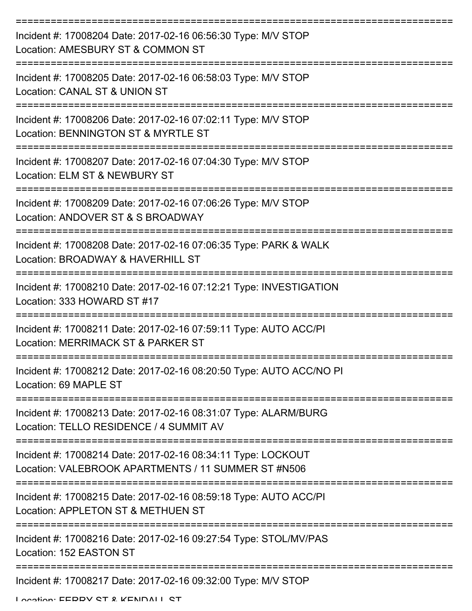| Incident #: 17008204 Date: 2017-02-16 06:56:30 Type: M/V STOP<br>Location: AMESBURY ST & COMMON ST                  |
|---------------------------------------------------------------------------------------------------------------------|
| Incident #: 17008205 Date: 2017-02-16 06:58:03 Type: M/V STOP<br>Location: CANAL ST & UNION ST                      |
| Incident #: 17008206 Date: 2017-02-16 07:02:11 Type: M/V STOP<br>Location: BENNINGTON ST & MYRTLE ST                |
| Incident #: 17008207 Date: 2017-02-16 07:04:30 Type: M/V STOP<br>Location: ELM ST & NEWBURY ST                      |
| Incident #: 17008209 Date: 2017-02-16 07:06:26 Type: M/V STOP<br>Location: ANDOVER ST & S BROADWAY                  |
| Incident #: 17008208 Date: 2017-02-16 07:06:35 Type: PARK & WALK<br>Location: BROADWAY & HAVERHILL ST               |
| Incident #: 17008210 Date: 2017-02-16 07:12:21 Type: INVESTIGATION<br>Location: 333 HOWARD ST #17                   |
| Incident #: 17008211 Date: 2017-02-16 07:59:11 Type: AUTO ACC/PI<br>Location: MERRIMACK ST & PARKER ST              |
| Incident #: 17008212 Date: 2017-02-16 08:20:50 Type: AUTO ACC/NO PI<br>Location: 69 MAPLE ST                        |
| Incident #: 17008213 Date: 2017-02-16 08:31:07 Type: ALARM/BURG<br>Location: TELLO RESIDENCE / 4 SUMMIT AV          |
| Incident #: 17008214 Date: 2017-02-16 08:34:11 Type: LOCKOUT<br>Location: VALEBROOK APARTMENTS / 11 SUMMER ST #N506 |
| Incident #: 17008215 Date: 2017-02-16 08:59:18 Type: AUTO ACC/PI<br>Location: APPLETON ST & METHUEN ST              |
| Incident #: 17008216 Date: 2017-02-16 09:27:54 Type: STOL/MV/PAS<br>Location: 152 EASTON ST                         |
| Incident #: 17008217 Date: 2017-02-16 09:32:00 Type: M/V STOP                                                       |

Location: EEDDV CT & KENDALL CT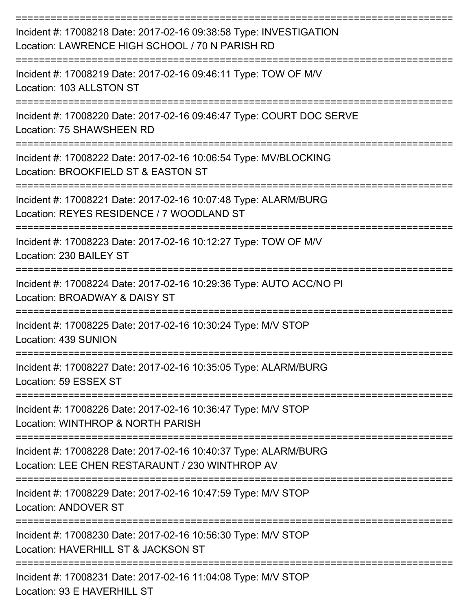| Incident #: 17008218 Date: 2017-02-16 09:38:58 Type: INVESTIGATION<br>Location: LAWRENCE HIGH SCHOOL / 70 N PARISH RD                                  |
|--------------------------------------------------------------------------------------------------------------------------------------------------------|
| Incident #: 17008219 Date: 2017-02-16 09:46:11 Type: TOW OF M/V<br>Location: 103 ALLSTON ST                                                            |
| Incident #: 17008220 Date: 2017-02-16 09:46:47 Type: COURT DOC SERVE<br>Location: 75 SHAWSHEEN RD                                                      |
| Incident #: 17008222 Date: 2017-02-16 10:06:54 Type: MV/BLOCKING<br>Location: BROOKFIELD ST & EASTON ST                                                |
| Incident #: 17008221 Date: 2017-02-16 10:07:48 Type: ALARM/BURG<br>Location: REYES RESIDENCE / 7 WOODLAND ST                                           |
| Incident #: 17008223 Date: 2017-02-16 10:12:27 Type: TOW OF M/V<br>Location: 230 BAILEY ST                                                             |
| Incident #: 17008224 Date: 2017-02-16 10:29:36 Type: AUTO ACC/NO PI<br>Location: BROADWAY & DAISY ST                                                   |
| Incident #: 17008225 Date: 2017-02-16 10:30:24 Type: M/V STOP<br>Location: 439 SUNION                                                                  |
| Incident #: 17008227 Date: 2017-02-16 10:35:05 Type: ALARM/BURG<br>Location: 59 ESSEX ST                                                               |
| -------------<br>Incident #: 17008226 Date: 2017-02-16 10:36:47 Type: M/V STOP<br>Location: WINTHROP & NORTH PARISH                                    |
| Incident #: 17008228 Date: 2017-02-16 10:40:37 Type: ALARM/BURG<br>Location: LEE CHEN RESTARAUNT / 230 WINTHROP AV                                     |
| Incident #: 17008229 Date: 2017-02-16 10:47:59 Type: M/V STOP<br><b>Location: ANDOVER ST</b>                                                           |
| Incident #: 17008230 Date: 2017-02-16 10:56:30 Type: M/V STOP<br>Location: HAVERHILL ST & JACKSON ST                                                   |
| Incident #: 17008231 Date: 2017-02-16 11:04:08 Type: M/V STOP<br>$H_{\text{max}}$ , $\Omega$ $\Omega$ $\Gamma$ is interested in Fig. $\Omega$ $\Gamma$ |

Location: 93 E HAVERHILL ST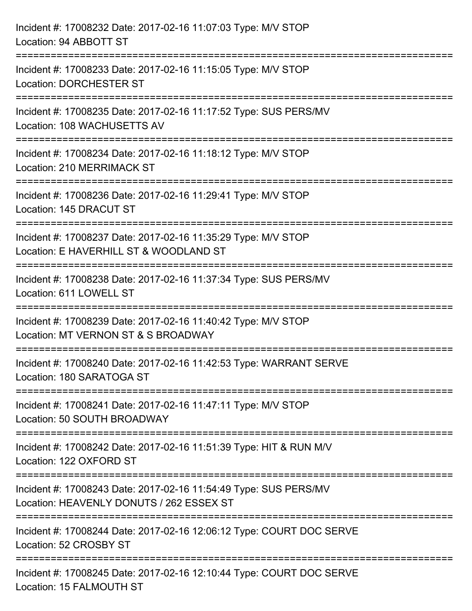| Incident #: 17008232 Date: 2017-02-16 11:07:03 Type: M/V STOP<br>Location: 94 ABBOTT ST                                   |
|---------------------------------------------------------------------------------------------------------------------------|
| Incident #: 17008233 Date: 2017-02-16 11:15:05 Type: M/V STOP<br><b>Location: DORCHESTER ST</b>                           |
| Incident #: 17008235 Date: 2017-02-16 11:17:52 Type: SUS PERS/MV<br>Location: 108 WACHUSETTS AV                           |
| Incident #: 17008234 Date: 2017-02-16 11:18:12 Type: M/V STOP<br><b>Location: 210 MERRIMACK ST</b><br>------------------- |
| Incident #: 17008236 Date: 2017-02-16 11:29:41 Type: M/V STOP<br>Location: 145 DRACUT ST                                  |
| Incident #: 17008237 Date: 2017-02-16 11:35:29 Type: M/V STOP<br>Location: E HAVERHILL ST & WOODLAND ST                   |
| Incident #: 17008238 Date: 2017-02-16 11:37:34 Type: SUS PERS/MV<br>Location: 611 LOWELL ST                               |
| Incident #: 17008239 Date: 2017-02-16 11:40:42 Type: M/V STOP<br>Location: MT VERNON ST & S BROADWAY                      |
| Incident #: 17008240 Date: 2017-02-16 11:42:53 Type: WARRANT SERVE<br>Location: 180 SARATOGA ST                           |
| Incident #: 17008241 Date: 2017-02-16 11:47:11 Type: M/V STOP<br>Location: 50 SOUTH BROADWAY                              |
| Incident #: 17008242 Date: 2017-02-16 11:51:39 Type: HIT & RUN M/V<br>Location: 122 OXFORD ST                             |
| Incident #: 17008243 Date: 2017-02-16 11:54:49 Type: SUS PERS/MV<br>Location: HEAVENLY DONUTS / 262 ESSEX ST              |
| Incident #: 17008244 Date: 2017-02-16 12:06:12 Type: COURT DOC SERVE<br>Location: 52 CROSBY ST                            |
| Incident #: 17008245 Date: 2017-02-16 12:10:44 Type: COURT DOC SERVE<br>Location: 15 FALMOUTH ST                          |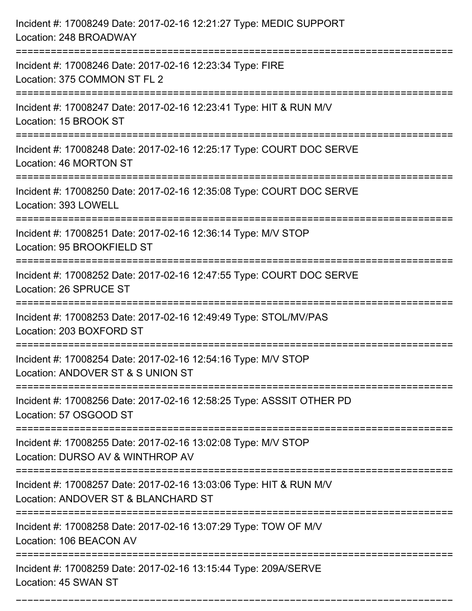| Incident #: 17008249 Date: 2017-02-16 12:21:27 Type: MEDIC SUPPORT<br>Location: 248 BROADWAY                         |
|----------------------------------------------------------------------------------------------------------------------|
| Incident #: 17008246 Date: 2017-02-16 12:23:34 Type: FIRE<br>Location: 375 COMMON ST FL 2                            |
| Incident #: 17008247 Date: 2017-02-16 12:23:41 Type: HIT & RUN M/V<br>Location: 15 BROOK ST                          |
| Incident #: 17008248 Date: 2017-02-16 12:25:17 Type: COURT DOC SERVE<br>Location: 46 MORTON ST                       |
| Incident #: 17008250 Date: 2017-02-16 12:35:08 Type: COURT DOC SERVE<br>Location: 393 LOWELL                         |
| Incident #: 17008251 Date: 2017-02-16 12:36:14 Type: M/V STOP<br>Location: 95 BROOKFIELD ST                          |
| Incident #: 17008252 Date: 2017-02-16 12:47:55 Type: COURT DOC SERVE<br>Location: 26 SPRUCE ST                       |
| Incident #: 17008253 Date: 2017-02-16 12:49:49 Type: STOL/MV/PAS<br>Location: 203 BOXFORD ST                         |
| Incident #: 17008254 Date: 2017-02-16 12:54:16 Type: M/V STOP<br>Location: ANDOVER ST & S UNION ST                   |
| Incident #: 17008256 Date: 2017-02-16 12:58:25 Type: ASSSIT OTHER PD<br>Location: 57 OSGOOD ST                       |
| Incident #: 17008255 Date: 2017-02-16 13:02:08 Type: M/V STOP<br>Location: DURSO AV & WINTHROP AV                    |
| Incident #: 17008257 Date: 2017-02-16 13:03:06 Type: HIT & RUN M/V<br>Location: ANDOVER ST & BLANCHARD ST            |
| Incident #: 17008258 Date: 2017-02-16 13:07:29 Type: TOW OF M/V<br>Location: 106 BEACON AV<br>====================== |
| Incident #: 17008259 Date: 2017-02-16 13:15:44 Type: 209A/SERVE<br>Location: 45 SWAN ST                              |

===========================================================================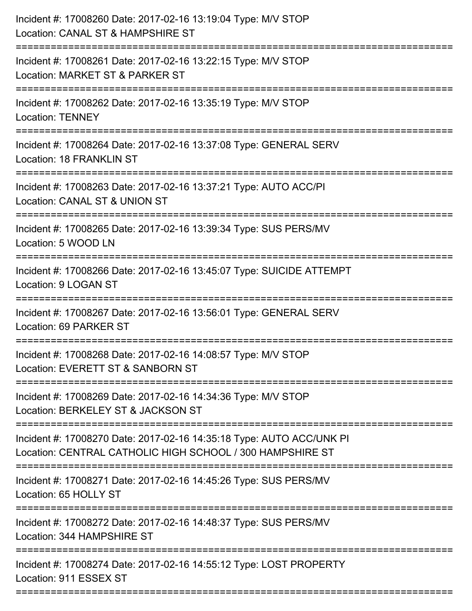| Incident #: 17008260 Date: 2017-02-16 13:19:04 Type: M/V STOP<br>Location: CANAL ST & HAMPSHIRE ST<br>:========================                 |
|-------------------------------------------------------------------------------------------------------------------------------------------------|
| Incident #: 17008261 Date: 2017-02-16 13:22:15 Type: M/V STOP<br>Location: MARKET ST & PARKER ST                                                |
| Incident #: 17008262 Date: 2017-02-16 13:35:19 Type: M/V STOP<br><b>Location: TENNEY</b>                                                        |
| Incident #: 17008264 Date: 2017-02-16 13:37:08 Type: GENERAL SERV<br>Location: 18 FRANKLIN ST                                                   |
| Incident #: 17008263 Date: 2017-02-16 13:37:21 Type: AUTO ACC/PI<br>Location: CANAL ST & UNION ST                                               |
| Incident #: 17008265 Date: 2017-02-16 13:39:34 Type: SUS PERS/MV<br>Location: 5 WOOD LN<br>===========                                          |
| Incident #: 17008266 Date: 2017-02-16 13:45:07 Type: SUICIDE ATTEMPT<br>Location: 9 LOGAN ST<br>------------------------------<br>------------- |
| Incident #: 17008267 Date: 2017-02-16 13:56:01 Type: GENERAL SERV<br>Location: 69 PARKER ST                                                     |
| Incident #: 17008268 Date: 2017-02-16 14:08:57 Type: M/V STOP<br>Location: EVERETT ST & SANBORN ST                                              |
| Incident #: 17008269 Date: 2017-02-16 14:34:36 Type: M/V STOP<br>Location: BERKELEY ST & JACKSON ST                                             |
| Incident #: 17008270 Date: 2017-02-16 14:35:18 Type: AUTO ACC/UNK PI<br>Location: CENTRAL CATHOLIC HIGH SCHOOL / 300 HAMPSHIRE ST               |
| Incident #: 17008271 Date: 2017-02-16 14:45:26 Type: SUS PERS/MV<br>Location: 65 HOLLY ST                                                       |
| Incident #: 17008272 Date: 2017-02-16 14:48:37 Type: SUS PERS/MV<br>Location: 344 HAMPSHIRE ST                                                  |
| Incident #: 17008274 Date: 2017-02-16 14:55:12 Type: LOST PROPERTY<br>Location: 911 ESSEX ST                                                    |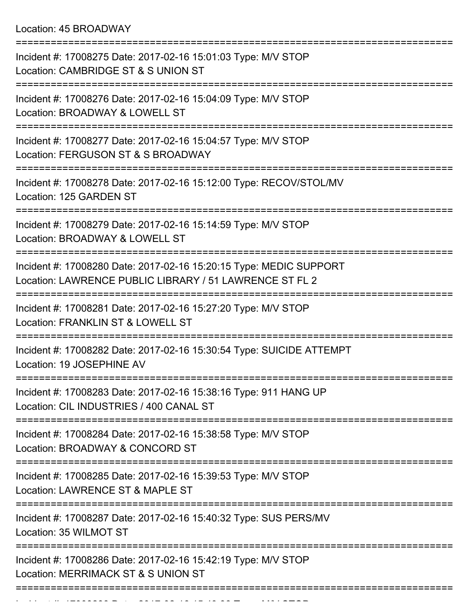| Incident #: 17008275 Date: 2017-02-16 15:01:03 Type: M/V STOP<br>Location: CAMBRIDGE ST & S UNION ST                          |
|-------------------------------------------------------------------------------------------------------------------------------|
| Incident #: 17008276 Date: 2017-02-16 15:04:09 Type: M/V STOP<br>Location: BROADWAY & LOWELL ST                               |
| Incident #: 17008277 Date: 2017-02-16 15:04:57 Type: M/V STOP<br>Location: FERGUSON ST & S BROADWAY                           |
| Incident #: 17008278 Date: 2017-02-16 15:12:00 Type: RECOV/STOL/MV<br>Location: 125 GARDEN ST                                 |
| Incident #: 17008279 Date: 2017-02-16 15:14:59 Type: M/V STOP<br>Location: BROADWAY & LOWELL ST                               |
| Incident #: 17008280 Date: 2017-02-16 15:20:15 Type: MEDIC SUPPORT<br>Location: LAWRENCE PUBLIC LIBRARY / 51 LAWRENCE ST FL 2 |
| Incident #: 17008281 Date: 2017-02-16 15:27:20 Type: M/V STOP<br>Location: FRANKLIN ST & LOWELL ST                            |
| Incident #: 17008282 Date: 2017-02-16 15:30:54 Type: SUICIDE ATTEMPT<br>Location: 19 JOSEPHINE AV                             |
| Incident #: 17008283 Date: 2017-02-16 15:38:16 Type: 911 HANG UP<br>Location: CIL INDUSTRIES / 400 CANAL ST                   |
| Incident #: 17008284 Date: 2017-02-16 15:38:58 Type: M/V STOP<br>Location: BROADWAY & CONCORD ST                              |
| Incident #: 17008285 Date: 2017-02-16 15:39:53 Type: M/V STOP<br>Location: LAWRENCE ST & MAPLE ST                             |
| Incident #: 17008287 Date: 2017-02-16 15:40:32 Type: SUS PERS/MV<br>Location: 35 WILMOT ST                                    |
| Incident #: 17008286 Date: 2017-02-16 15:42:19 Type: M/V STOP<br>Location: MERRIMACK ST & S UNION ST                          |
|                                                                                                                               |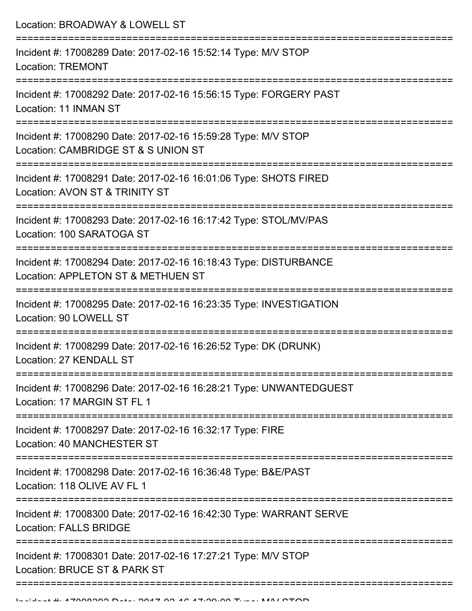Location: BROADWAY & LOWELL ST =========================================================================== Incident #: 17008289 Date: 2017-02-16 15:52:14 Type: M/V STOP Location: TREMONT =========================================================================== Incident #: 17008292 Date: 2017-02-16 15:56:15 Type: FORGERY PAST Location: 11 INMAN ST =========================================================================== Incident #: 17008290 Date: 2017-02-16 15:59:28 Type: M/V STOP Location: CAMBRIDGE ST & S UNION ST =========================================================================== Incident #: 17008291 Date: 2017-02-16 16:01:06 Type: SHOTS FIRED Location: AVON ST & TRINITY ST =========================================================================== Incident #: 17008293 Date: 2017-02-16 16:17:42 Type: STOL/MV/PAS Location: 100 SARATOGA ST =========================================================================== Incident #: 17008294 Date: 2017-02-16 16:18:43 Type: DISTURBANCE Location: APPLETON ST & METHUEN ST =========================================================================== Incident #: 17008295 Date: 2017-02-16 16:23:35 Type: INVESTIGATION Location: 90 LOWELL ST =========================================================================== Incident #: 17008299 Date: 2017-02-16 16:26:52 Type: DK (DRUNK) Location: 27 KENDALL ST =========================================================================== Incident #: 17008296 Date: 2017-02-16 16:28:21 Type: UNWANTEDGUEST Location: 17 MARGIN ST FL 1 =========================================================================== Incident #: 17008297 Date: 2017-02-16 16:32:17 Type: FIRE Location: 40 MANCHESTER ST =========================================================================== Incident #: 17008298 Date: 2017-02-16 16:36:48 Type: B&E/PAST Location: 118 OLIVE AV FL 1 =========================================================================== Incident #: 17008300 Date: 2017-02-16 16:42:30 Type: WARRANT SERVE Location: FALLS BRIDGE =========================================================================== Incident #: 17008301 Date: 2017-02-16 17:27:21 Type: M/V STOP Location: BRUCE ST & PARK ST ===========================================================================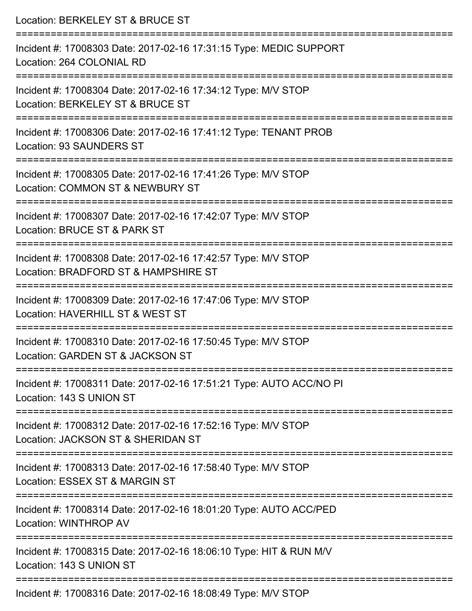| Location: BERKELEY ST & BRUCE ST                                                                      |
|-------------------------------------------------------------------------------------------------------|
| Incident #: 17008303 Date: 2017-02-16 17:31:15 Type: MEDIC SUPPORT<br>Location: 264 COLONIAL RD       |
| Incident #: 17008304 Date: 2017-02-16 17:34:12 Type: M/V STOP<br>Location: BERKELEY ST & BRUCE ST     |
| Incident #: 17008306 Date: 2017-02-16 17:41:12 Type: TENANT PROB<br><b>Location: 93 SAUNDERS ST</b>   |
| Incident #: 17008305 Date: 2017-02-16 17:41:26 Type: M/V STOP<br>Location: COMMON ST & NEWBURY ST     |
| Incident #: 17008307 Date: 2017-02-16 17:42:07 Type: M/V STOP<br>Location: BRUCE ST & PARK ST         |
| Incident #: 17008308 Date: 2017-02-16 17:42:57 Type: M/V STOP<br>Location: BRADFORD ST & HAMPSHIRE ST |
| Incident #: 17008309 Date: 2017-02-16 17:47:06 Type: M/V STOP<br>Location: HAVERHILL ST & WEST ST     |
| Incident #: 17008310 Date: 2017-02-16 17:50:45 Type: M/V STOP<br>Location: GARDEN ST & JACKSON ST     |
| Incident #: 17008311 Date: 2017-02-16 17:51:21 Type: AUTO ACC/NO PI<br>Location: 143 S UNION ST       |
| Incident #: 17008312 Date: 2017-02-16 17:52:16 Type: M/V STOP<br>Location: JACKSON ST & SHERIDAN ST   |
| Incident #: 17008313 Date: 2017-02-16 17:58:40 Type: M/V STOP<br>Location: ESSEX ST & MARGIN ST       |
| Incident #: 17008314 Date: 2017-02-16 18:01:20 Type: AUTO ACC/PED<br><b>Location: WINTHROP AV</b>     |
| Incident #: 17008315 Date: 2017-02-16 18:06:10 Type: HIT & RUN M/V<br>Location: 143 S UNION ST        |
| Incident #: 17008316 Date: 2017-02-16 18:08:49 Type: M/V STOP                                         |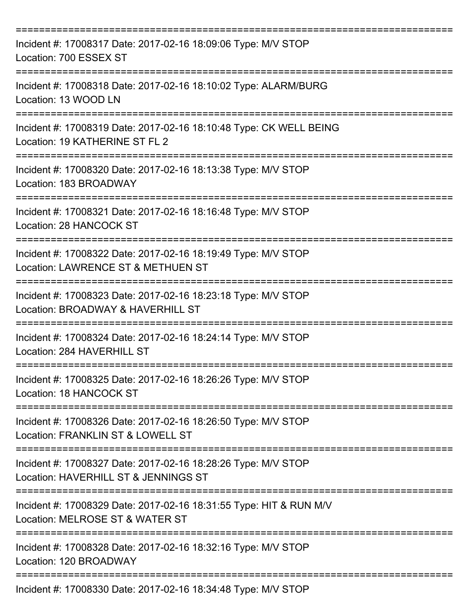| Incident #: 17008317 Date: 2017-02-16 18:09:06 Type: M/V STOP<br>Location: 700 ESSEX ST               |
|-------------------------------------------------------------------------------------------------------|
| Incident #: 17008318 Date: 2017-02-16 18:10:02 Type: ALARM/BURG<br>Location: 13 WOOD LN               |
| Incident #: 17008319 Date: 2017-02-16 18:10:48 Type: CK WELL BEING<br>Location: 19 KATHERINE ST FL 2  |
| Incident #: 17008320 Date: 2017-02-16 18:13:38 Type: M/V STOP<br>Location: 183 BROADWAY               |
| Incident #: 17008321 Date: 2017-02-16 18:16:48 Type: M/V STOP<br>Location: 28 HANCOCK ST              |
| Incident #: 17008322 Date: 2017-02-16 18:19:49 Type: M/V STOP<br>Location: LAWRENCE ST & METHUEN ST   |
| Incident #: 17008323 Date: 2017-02-16 18:23:18 Type: M/V STOP<br>Location: BROADWAY & HAVERHILL ST    |
| Incident #: 17008324 Date: 2017-02-16 18:24:14 Type: M/V STOP<br>Location: 284 HAVERHILL ST           |
| Incident #: 17008325 Date: 2017-02-16 18:26:26 Type: M/V STOP<br>Location: 18 HANCOCK ST              |
| Incident #: 17008326 Date: 2017-02-16 18:26:50 Type: M/V STOP<br>Location: FRANKLIN ST & LOWELL ST    |
| Incident #: 17008327 Date: 2017-02-16 18:28:26 Type: M/V STOP<br>Location: HAVERHILL ST & JENNINGS ST |
| Incident #: 17008329 Date: 2017-02-16 18:31:55 Type: HIT & RUN M/V<br>Location: MELROSE ST & WATER ST |
| Incident #: 17008328 Date: 2017-02-16 18:32:16 Type: M/V STOP<br>Location: 120 BROADWAY               |
| Incident #: 17008330 Date: 2017-02-16 18:34:48 Type: M/V STOP                                         |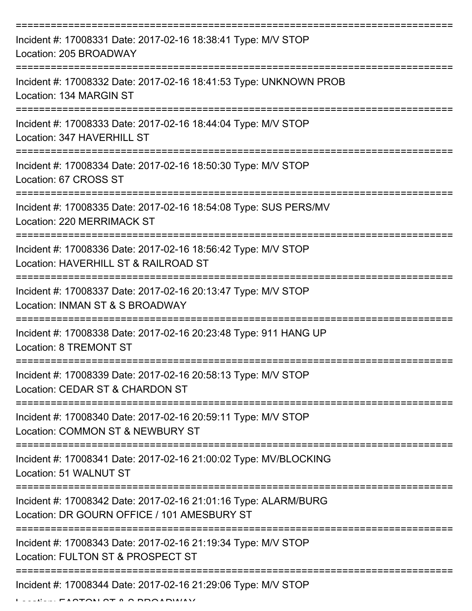| Incident #: 17008331 Date: 2017-02-16 18:38:41 Type: M/V STOP<br>Location: 205 BROADWAY                        |
|----------------------------------------------------------------------------------------------------------------|
| Incident #: 17008332 Date: 2017-02-16 18:41:53 Type: UNKNOWN PROB<br>Location: 134 MARGIN ST                   |
| Incident #: 17008333 Date: 2017-02-16 18:44:04 Type: M/V STOP<br>Location: 347 HAVERHILL ST                    |
| Incident #: 17008334 Date: 2017-02-16 18:50:30 Type: M/V STOP<br>Location: 67 CROSS ST                         |
| Incident #: 17008335 Date: 2017-02-16 18:54:08 Type: SUS PERS/MV<br><b>Location: 220 MERRIMACK ST</b>          |
| Incident #: 17008336 Date: 2017-02-16 18:56:42 Type: M/V STOP<br>Location: HAVERHILL ST & RAILROAD ST          |
| Incident #: 17008337 Date: 2017-02-16 20:13:47 Type: M/V STOP<br>Location: INMAN ST & S BROADWAY               |
| Incident #: 17008338 Date: 2017-02-16 20:23:48 Type: 911 HANG UP<br>Location: 8 TREMONT ST                     |
| Incident #: 17008339 Date: 2017-02-16 20:58:13 Type: M/V STOP<br>Location: CEDAR ST & CHARDON ST               |
| Incident #: 17008340 Date: 2017-02-16 20:59:11 Type: M/V STOP<br>Location: COMMON ST & NEWBURY ST              |
| Incident #: 17008341 Date: 2017-02-16 21:00:02 Type: MV/BLOCKING<br>Location: 51 WALNUT ST                     |
| Incident #: 17008342 Date: 2017-02-16 21:01:16 Type: ALARM/BURG<br>Location: DR GOURN OFFICE / 101 AMESBURY ST |
| Incident #: 17008343 Date: 2017-02-16 21:19:34 Type: M/V STOP<br>Location: FULTON ST & PROSPECT ST             |
| Incident #: 17008344 Date: 2017-02-16 21:29:06 Type: M/V STOP                                                  |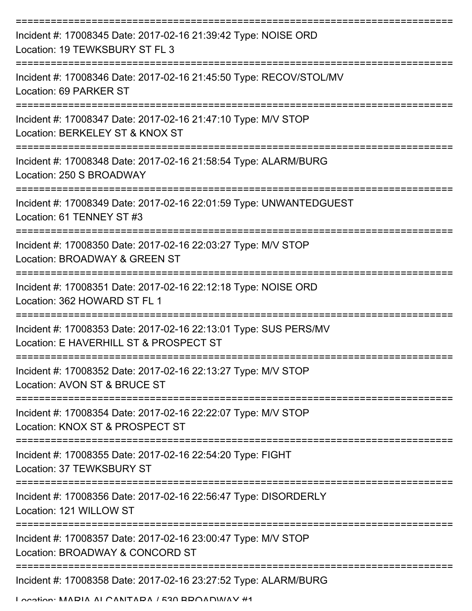| Incident #: 17008345 Date: 2017-02-16 21:39:42 Type: NOISE ORD<br>Location: 19 TEWKSBURY ST FL 3           |
|------------------------------------------------------------------------------------------------------------|
| Incident #: 17008346 Date: 2017-02-16 21:45:50 Type: RECOV/STOL/MV<br>Location: 69 PARKER ST               |
| Incident #: 17008347 Date: 2017-02-16 21:47:10 Type: M/V STOP<br>Location: BERKELEY ST & KNOX ST           |
| Incident #: 17008348 Date: 2017-02-16 21:58:54 Type: ALARM/BURG<br>Location: 250 S BROADWAY                |
| Incident #: 17008349 Date: 2017-02-16 22:01:59 Type: UNWANTEDGUEST<br>Location: 61 TENNEY ST #3            |
| Incident #: 17008350 Date: 2017-02-16 22:03:27 Type: M/V STOP<br>Location: BROADWAY & GREEN ST             |
| Incident #: 17008351 Date: 2017-02-16 22:12:18 Type: NOISE ORD<br>Location: 362 HOWARD ST FL 1             |
| Incident #: 17008353 Date: 2017-02-16 22:13:01 Type: SUS PERS/MV<br>Location: E HAVERHILL ST & PROSPECT ST |
| Incident #: 17008352 Date: 2017-02-16 22:13:27 Type: M/V STOP<br>Location: AVON ST & BRUCE ST              |
| Incident #: 17008354 Date: 2017-02-16 22:22:07 Type: M/V STOP<br>Location: KNOX ST & PROSPECT ST           |
| Incident #: 17008355 Date: 2017-02-16 22:54:20 Type: FIGHT<br>Location: 37 TEWKSBURY ST                    |
| Incident #: 17008356 Date: 2017-02-16 22:56:47 Type: DISORDERLY<br>Location: 121 WILLOW ST                 |
| Incident #: 17008357 Date: 2017-02-16 23:00:47 Type: M/V STOP<br>Location: BROADWAY & CONCORD ST           |
| Incident #: 17008358 Date: 2017-02-16 23:27:52 Type: ALARM/BURG                                            |

Location: MARIA ALCANTARA / 530 BROADWAY #1